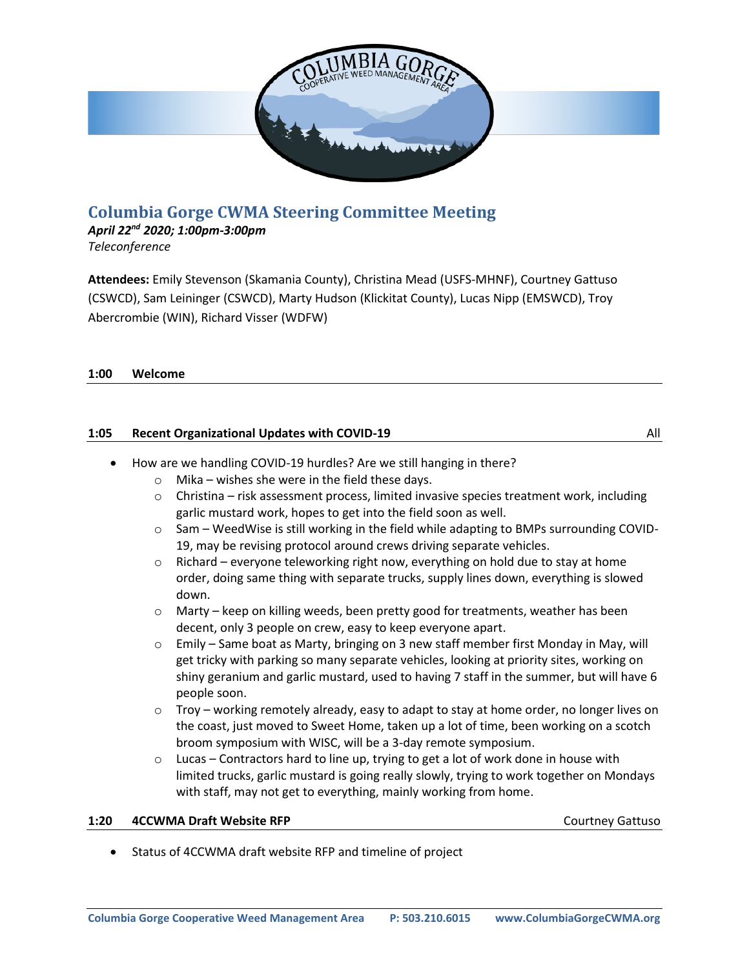

# **Columbia Gorge CWMA Steering Committee Meeting**

## *April 22nd 2020; 1:00pm-3:00pm*

*Teleconference*

**Attendees:** Emily Stevenson (Skamania County), Christina Mead (USFS-MHNF), Courtney Gattuso (CSWCD), Sam Leininger (CSWCD), Marty Hudson (Klickitat County), Lucas Nipp (EMSWCD), Troy Abercrombie (WIN), Richard Visser (WDFW)

### **1:00 Welcome**

### **1:05 Recent Organizational Updates with COVID-19 All All All All All**

- How are we handling COVID-19 hurdles? Are we still hanging in there?
	- $\circ$  Mika wishes she were in the field these days.
	- $\circ$  Christina risk assessment process, limited invasive species treatment work, including garlic mustard work, hopes to get into the field soon as well.
	- $\circ$  Sam WeedWise is still working in the field while adapting to BMPs surrounding COVID-19, may be revising protocol around crews driving separate vehicles.
	- $\circ$  Richard everyone teleworking right now, everything on hold due to stay at home order, doing same thing with separate trucks, supply lines down, everything is slowed down.
	- $\circ$  Marty keep on killing weeds, been pretty good for treatments, weather has been decent, only 3 people on crew, easy to keep everyone apart.
	- $\circ$  Emily Same boat as Marty, bringing on 3 new staff member first Monday in May, will get tricky with parking so many separate vehicles, looking at priority sites, working on shiny geranium and garlic mustard, used to having 7 staff in the summer, but will have 6 people soon.
	- $\circ$  Troy working remotely already, easy to adapt to stay at home order, no longer lives on the coast, just moved to Sweet Home, taken up a lot of time, been working on a scotch broom symposium with WISC, will be a 3-day remote symposium.
	- $\circ$  Lucas Contractors hard to line up, trying to get a lot of work done in house with limited trucks, garlic mustard is going really slowly, trying to work together on Mondays with staff, may not get to everything, mainly working from home.

### **1:20 4CCWMA Draft Website RFP COULD ALL ALL ACCUPACITY COULD ALL ACCUPACITY COULD ALL ACCUPACITY COULD ALL ACCUPACITY**

• Status of 4CCWMA draft website RFP and timeline of project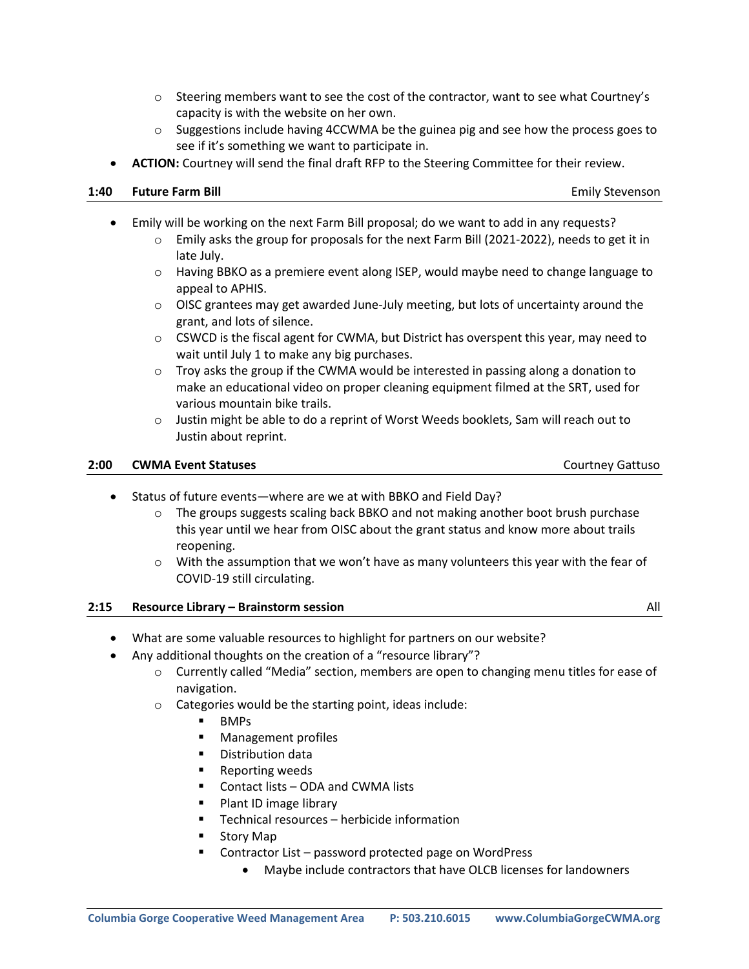- $\circ$  Steering members want to see the cost of the contractor, want to see what Courtney's capacity is with the website on her own.
- $\circ$  Suggestions include having 4CCWMA be the guinea pig and see how the process goes to see if it's something we want to participate in.
- **ACTION:** Courtney will send the final draft RFP to the Steering Committee for their review.

#### **1:40 Future Farm Bill** Emily Stevenson

- Emily will be working on the next Farm Bill proposal; do we want to add in any requests?
	- $\circ$  Emily asks the group for proposals for the next Farm Bill (2021-2022), needs to get it in late July.
	- $\circ$  Having BBKO as a premiere event along ISEP, would maybe need to change language to appeal to APHIS.
	- $\circ$  OISC grantees may get awarded June-July meeting, but lots of uncertainty around the grant, and lots of silence.
	- $\circ$  CSWCD is the fiscal agent for CWMA, but District has overspent this year, may need to wait until July 1 to make any big purchases.
	- $\circ$  Troy asks the group if the CWMA would be interested in passing along a donation to make an educational video on proper cleaning equipment filmed at the SRT, used for various mountain bike trails.
	- $\circ$  Justin might be able to do a reprint of Worst Weeds booklets, Sam will reach out to Justin about reprint.

#### **2:00 CWMA Event Statuses and Status and Status Courtney Gattusour Courtney Gattusour Courtney Gattusour Courtney Gattusour Courtney Gattusour Courtney Gattusour Courtney Gattusour Courtney Gattusour Courtney Gattusour Cou**

- Status of future events—where are we at with BBKO and Field Day?
	- $\circ$  The groups suggests scaling back BBKO and not making another boot brush purchase this year until we hear from OISC about the grant status and know more about trails reopening.
	- $\circ$  With the assumption that we won't have as many volunteers this year with the fear of COVID-19 still circulating.

### **2:15 Resource Library – Brainstorm session** All

- What are some valuable resources to highlight for partners on our website?
- Any additional thoughts on the creation of a "resource library"?
	- o Currently called "Media" section, members are open to changing menu titles for ease of navigation.
	- o Categories would be the starting point, ideas include:
		- BMPs
		- Management profiles
		- Distribution data
		- Reporting weeds
		- Contact lists ODA and CWMA lists
		- Plant ID image library
		- Technical resources herbicide information
		- Story Map
		- Contractor List password protected page on WordPress
			- Maybe include contractors that have OLCB licenses for landowners